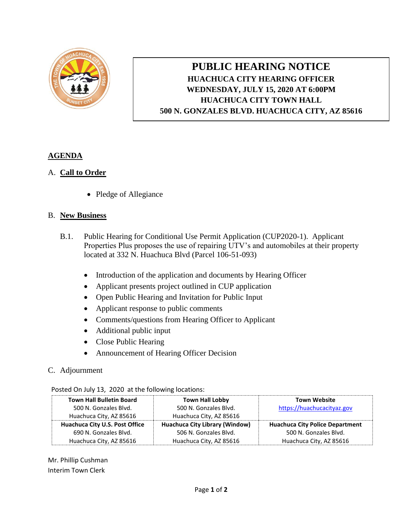

## **PUBLIC HEARING NOTICE HUACHUCA CITY HEARING OFFICER WEDNESDAY, JULY 15, 2020 AT 6:00PM HUACHUCA CITY TOWN HALL 500 N. GONZALES BLVD. HUACHUCA CITY, AZ 85616**

## **AGENDA**

## A. **Call to Order**

• Pledge of Allegiance

## B. **New Business**

- B.1. Public Hearing for Conditional Use Permit Application (CUP2020-1). Applicant Properties Plus proposes the use of repairing UTV's and automobiles at their property located at 332 N. Huachuca Blvd (Parcel 106-51-093)
	- Introduction of the application and documents by Hearing Officer
	- Applicant presents project outlined in CUP application
	- Open Public Hearing and Invitation for Public Input
	- Applicant response to public comments
	- Comments/questions from Hearing Officer to Applicant
	- Additional public input
	- Close Public Hearing
	- Announcement of Hearing Officer Decision
- C. Adjournment

|  | <b>Town Hall Bulletin Board</b> | <b>Town Hall Lobby</b>                | <b>Town Website</b>                    |
|--|---------------------------------|---------------------------------------|----------------------------------------|
|  | 500 N. Gonzales Blvd.           | 500 N. Gonzales Blvd.                 | https://huachucacityaz.gov             |
|  | Huachuca City, AZ 85616         | Huachuca City, AZ 85616               |                                        |
|  | Huachuca City U.S. Post Office  | <b>Huachuca City Library (Window)</b> | <b>Huachuca City Police Department</b> |
|  | 690 N. Gonzales Blvd.           | 506 N. Gonzales Blvd.                 | 500 N. Gonzales Blvd.                  |
|  | Huachuca City, AZ 85616         | Huachuca City, AZ 85616               | Huachuca City, AZ 85616                |

Posted On July 13, 2020 at the following locations:

Mr. Phillip Cushman Interim Town Clerk